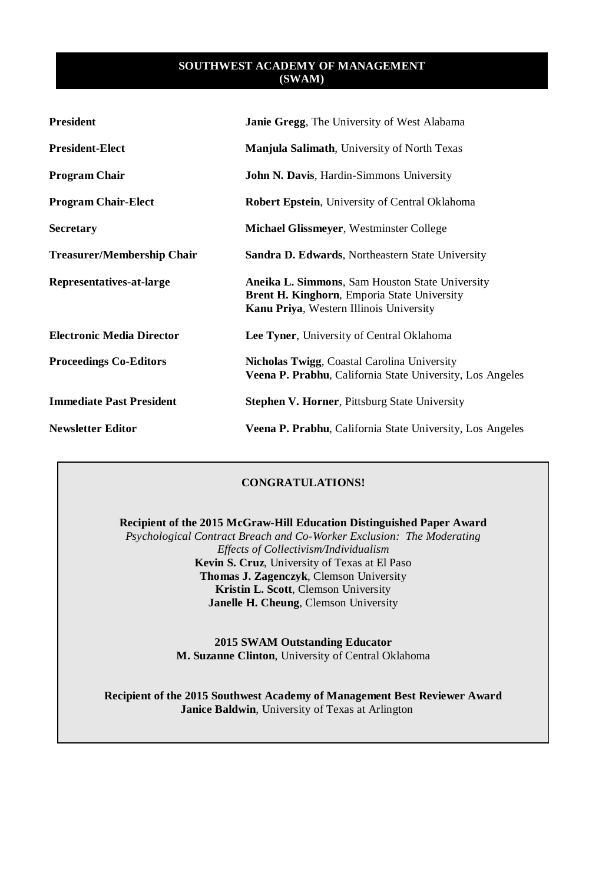| <b>President</b>                  | <b>Janie Gregg, The University of West Alabama</b>                                                                                               |
|-----------------------------------|--------------------------------------------------------------------------------------------------------------------------------------------------|
| <b>President-Elect</b>            | <b>Manjula Salimath, University of North Texas</b>                                                                                               |
| <b>Program Chair</b>              | <b>John N. Davis, Hardin-Simmons University</b>                                                                                                  |
| <b>Program Chair-Elect</b>        | <b>Robert Epstein, University of Central Oklahoma</b>                                                                                            |
| <b>Secretary</b>                  | <b>Michael Glissmeyer, Westminster College</b>                                                                                                   |
| <b>Treasurer/Membership Chair</b> | <b>Sandra D. Edwards, Northeastern State University</b>                                                                                          |
| Representatives-at-large          | Aneika L. Simmons, Sam Houston State University<br>Brent H. Kinghorn, Emporia State University<br><b>Kanu Priya, Western Illinois University</b> |
| <b>Electronic Media Director</b>  | Lee Tyner, University of Central Oklahoma                                                                                                        |
| <b>Proceedings Co-Editors</b>     | Nicholas Twigg, Coastal Carolina University<br>Veena P. Prabhu, California State University, Los Angeles                                         |
| <b>Immediate Past President</b>   | <b>Stephen V. Horner, Pittsburg State University</b>                                                                                             |
| <b>Newsletter Editor</b>          | Veena P. Prabhu, California State University, Los Angeles                                                                                        |

## **CONGRATULATIONS!**

**Recipient of the 2015 McGraw-Hill Education Distinguished Paper Award**

*Psychological Contract Breach and Co-Worker Exclusion: The Moderating Effects of Collectivism/Individualism* **Kevin S. Cruz**, University of Texas at El Paso **Thomas J. Zagenczyk**, Clemson University **Kristin L. Scott**, Clemson University **Janelle H. Cheung**, Clemson University

> **2015 SWAM Outstanding Educator M. Suzanne Clinton**, University of Central Oklahoma

**Recipient of the 2015 Southwest Academy of Management Best Reviewer Award Janice Baldwin**, University of Texas at Arlington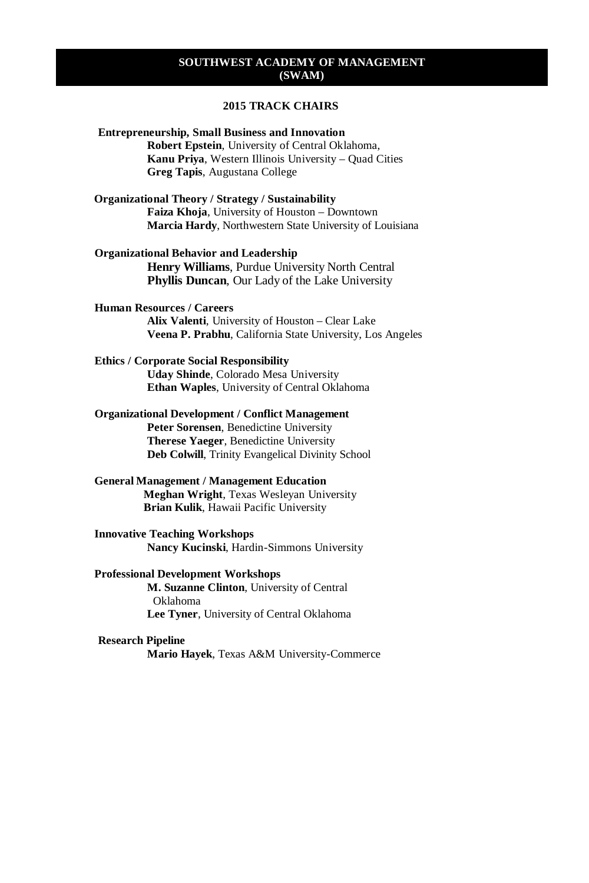## **2015 TRACK CHAIRS**

#### **Entrepreneurship, Small Business and Innovation**

**Robert Epstein**, University of Central Oklahoma, **Kanu Priya**, Western Illinois University – Quad Cities **Greg Tapis**, Augustana College

#### **Organizational Theory / Strategy / Sustainability Faiza Khoja**, University of Houston – Downtown **Marcia Hardy**, Northwestern State University of Louisiana

#### **Organizational Behavior and Leadership**

**Henry Williams**, Purdue University North Central **Phyllis Duncan**, Our Lady of the Lake University

## **Human Resources / Careers**

**Alix Valenti**, University of Houston – Clear Lake **Veena P. Prabhu**, California State University, Los Angeles

#### **Ethics / Corporate Social Responsibility**

**Uday Shinde**, Colorado Mesa University **Ethan Waples**, University of Central Oklahoma

#### **Organizational Development / Conflict Management**

**Peter Sorensen**, Benedictine University **Therese Yaeger**, Benedictine University **Deb Colwill**, Trinity Evangelical Divinity School

## **General Management / Management Education**

**Meghan Wright**, Texas Wesleyan University **Brian Kulik**, Hawaii Pacific University

**Innovative Teaching Workshops Nancy Kucinski**, Hardin-Simmons University

### **Professional Development Workshops**

**M. Suzanne Clinton**, University of Central Oklahoma **Lee Tyner**, University of Central Oklahoma

#### **Research Pipeline**

**Mario Hayek**, Texas A&M University-Commerce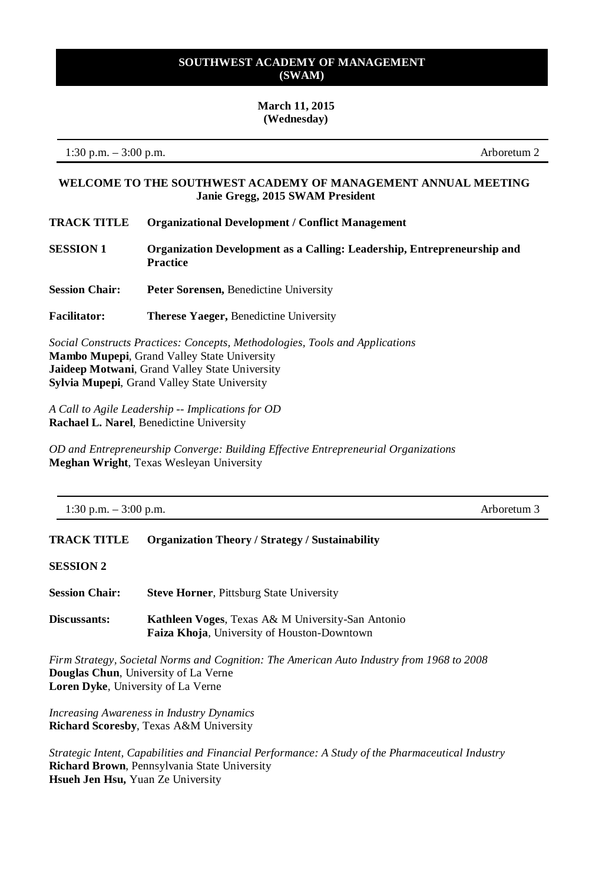### **March 11, 2015 (Wednesday)**

1:30 p.m. – 3:00 p.m. Arboretum 2

## **WELCOME TO THE SOUTHWEST ACADEMY OF MANAGEMENT ANNUAL MEETING Janie Gregg, 2015 SWAM President**

- **TRACK TITLE Organizational Development / Conflict Management**
- **SESSION 1 Organization Development as a Calling: Leadership, Entrepreneurship and Practice**
- **Session Chair: Peter Sorensen,** Benedictine University
- **Facilitator: Therese Yaeger,** Benedictine University

*Social Constructs Practices: Concepts, Methodologies, Tools and Applications* **Mambo Mupepi**, Grand Valley State University **Jaideep Motwani**, Grand Valley State University **Sylvia Mupepi**, Grand Valley State University

*A Call to Agile Leadership -- Implications for OD* **Rachael L. Narel**, Benedictine University

*OD and Entrepreneurship Converge: Building Effective Entrepreneurial Organizations* **Meghan Wright**, Texas Wesleyan University

| 1:30 p.m. $-3:00$ p.m. | Arboretum 3 |
|------------------------|-------------|
|------------------------|-------------|

## **TRACK TITLE Organization Theory / Strategy / Sustainability**

## **SESSION 2**

| <b>Session Chair:</b> | <b>Steve Horner, Pittsburg State University</b> |  |
|-----------------------|-------------------------------------------------|--|
|                       |                                                 |  |

**Discussants: Kathleen Voges**, Texas A& M University-San Antonio **Faiza Khoja**, University of Houston-Downtown

*Firm Strategy, Societal Norms and Cognition: The American Auto Industry from 1968 to 2008*  **Douglas Chun**, University of La Verne **Loren Dyke**, University of La Verne

*Increasing Awareness in Industry Dynamics* **Richard Scoresby**, Texas A&M University

*Strategic Intent, Capabilities and Financial Performance: A Study of the Pharmaceutical Industry* **Richard Brown**, Pennsylvania State University **Hsueh Jen Hsu,** Yuan Ze University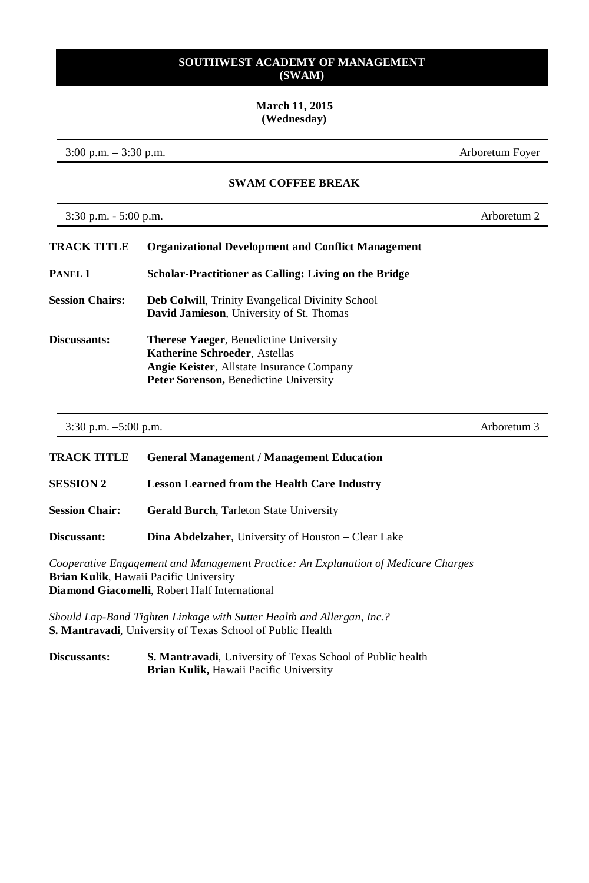## **March 11, 2015 (Wednesday)**

3:00 p.m. – 3:30 p.m. Arboretum Foyer

## **SWAM COFFEE BREAK**

3:30 p.m. - 5:00 p.m. Arboretum 2

| <b>TRACK TITLE</b>     | <b>Organizational Development and Conflict Management</b>                                                                                                                    |
|------------------------|------------------------------------------------------------------------------------------------------------------------------------------------------------------------------|
| PANEL 1                | Scholar-Practitioner as Calling: Living on the Bridge                                                                                                                        |
| <b>Session Chairs:</b> | <b>Deb Colwill, Trinity Evangelical Divinity School</b><br><b>David Jamieson</b> , University of St. Thomas                                                                  |
| Discussants:           | <b>Therese Yaeger, Benedictine University</b><br><b>Katherine Schroeder, Astellas</b><br>Angie Keister, Allstate Insurance Company<br>Peter Sorenson, Benedictine University |

3:30 p.m. –5:00 p.m. Arboretum 3

| <b>TRACK TITLE</b>    | <b>General Management / Management Education</b>                                   |
|-----------------------|------------------------------------------------------------------------------------|
| <b>SESSION 2</b>      | <b>Lesson Learned from the Health Care Industry</b>                                |
| <b>Session Chair:</b> | <b>Gerald Burch, Tarleton State University</b>                                     |
| Discussant:           | <b>Dina Abdelzaher</b> , University of Houston – Clear Lake                        |
|                       | Cooperative Engagement and Management Practice: An Explanation of Medicare Charges |

*Cooperative Engagement and Management Practice: An Explanation of Medicare Charges* **Brian Kulik**, Hawaii Pacific University **Diamond Giacomelli**, Robert Half International

*Should Lap-Band Tighten Linkage with Sutter Health and Allergan, Inc.?* **S. Mantravadi**, University of Texas School of Public Health

**Discussants: S. Mantravadi**, University of Texas School of Public health **Brian Kulik,** Hawaii Pacific University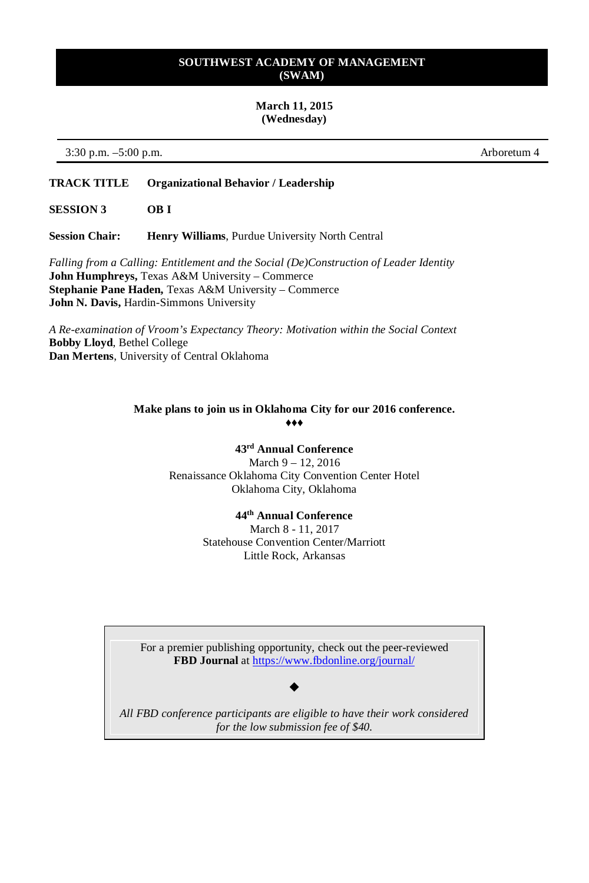## **March 11, 2015 (Wednesday)**

3:30 p.m. –5:00 p.m. Arboretum 4

## **TRACK TITLE Organizational Behavior / Leadership**

**SESSION 3 OB I**

**Session Chair: Henry Williams**, Purdue University North Central

*Falling from a Calling: Entitlement and the Social (De)Construction of Leader Identity* **John Humphreys,** Texas A&M University – Commerce **Stephanie Pane Haden,** Texas A&M University – Commerce **John N. Davis,** Hardin-Simmons University

*A Re-examination of Vroom's Expectancy Theory: Motivation within the Social Context* **Bobby Lloyd**, Bethel College **Dan Mertens**, University of Central Oklahoma

### **Make plans to join us in Oklahoma City for our 2016 conference.** ♦♦♦

# **43rd Annual Conference**

March 9 – 12, 2016 Renaissance Oklahoma City Convention Center Hotel Oklahoma City, Oklahoma

## **44th Annual Conference**

March 8 - 11, 2017 Statehouse Convention Center/Marriott Little Rock, Arkansas

For a premier publishing opportunity, check out the peer-reviewed **FBD Journal** a[t https://www.fbdonline.org/journal/](https://www.fbdonline.org/journal/)

## $\blacklozenge$

*All FBD conference participants are eligible to have their work considered for the low submission fee of \$40.*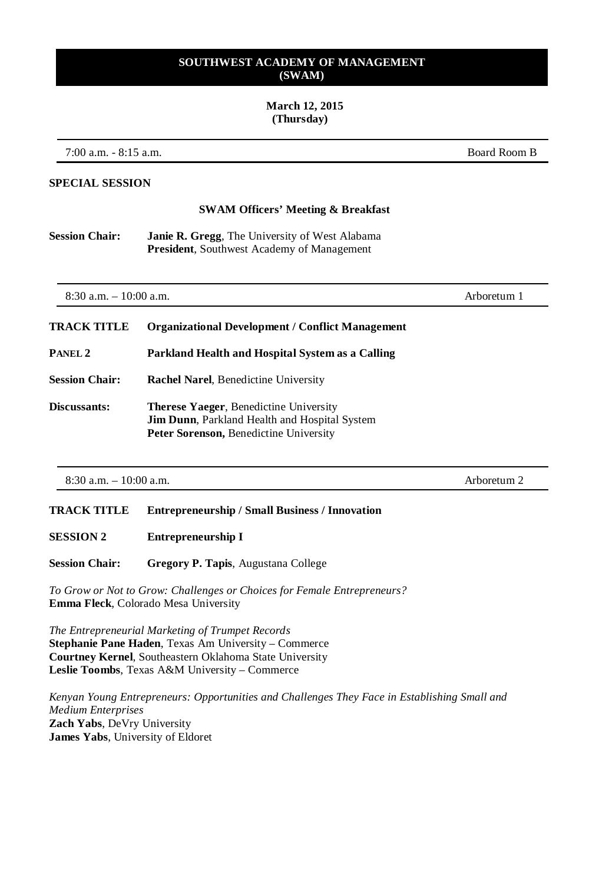#### **March 12, 2015 (Thursday)**

7:00 a.m. - 8:15 a.m. Board Room B

#### **SPECIAL SESSION**

#### **SWAM Officers' Meeting & Breakfast**

**Session Chair: Janie R. Gregg**, The University of West Alabama **President**, Southwest Academy of Management

| $8:30$ a.m. $-10:00$ a.m. |                                                                                                                                                        | Arboretum 1 |
|---------------------------|--------------------------------------------------------------------------------------------------------------------------------------------------------|-------------|
| <b>TRACK TITLE</b>        | <b>Organizational Development / Conflict Management</b>                                                                                                |             |
| PANEL <sub>2</sub>        | Parkland Health and Hospital System as a Calling                                                                                                       |             |
| <b>Session Chair:</b>     | <b>Rachel Narel, Benedictine University</b>                                                                                                            |             |
| Discussants:              | <b>Therese Yaeger, Benedictine University</b><br><b>Jim Dunn, Parkland Health and Hospital System</b><br><b>Peter Sorenson, Benedictine University</b> |             |

8:30 a.m. – 10:00 a.m. Arboretum 2

## **TRACK TITLE Entrepreneurship / Small Business / Innovation**

**SESSION 2 Entrepreneurship I**

**Session Chair: Gregory P. Tapis**, Augustana College

*To Grow or Not to Grow: Challenges or Choices for Female Entrepreneurs?* **Emma Fleck**, Colorado Mesa University

*The Entrepreneurial Marketing of Trumpet Records* **Stephanie Pane Haden**, Texas Am University – Commerce **Courtney Kernel**, Southeastern Oklahoma State University **Leslie Toombs**, Texas A&M University – Commerce

*Kenyan Young Entrepreneurs: Opportunities and Challenges They Face in Establishing Small and Medium Enterprises* **Zach Yabs**, DeVry University **James Yabs**, University of Eldoret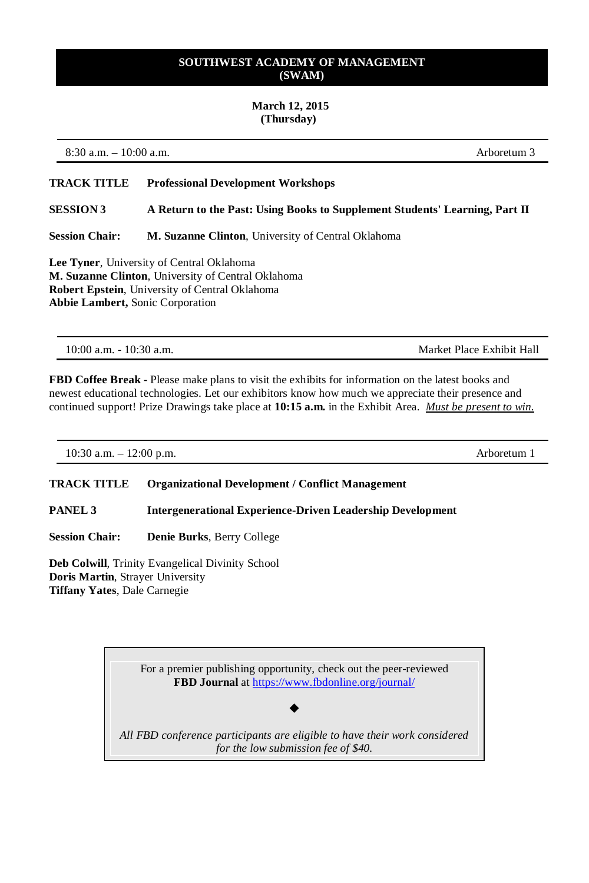## **March 12, 2015 (Thursday)**

8:30 a.m. – 10:00 a.m. Arboretum 3

## **TRACK TITLE Professional Development Workshops**

**SESSION 3 A Return to the Past: Using Books to Supplement Students' Learning, Part II**

**Session Chair: M. Suzanne Clinton**, University of Central Oklahoma

**Lee Tyner**, University of Central Oklahoma **M. Suzanne Clinton**, University of Central Oklahoma **Robert Epstein**, University of Central Oklahoma **Abbie Lambert,** Sonic Corporation

10:00 a.m. - 10:30 a.m. Market Place Exhibit Hall

**FBD Coffee Break -** Please make plans to visit the exhibits for information on the latest books and newest educational technologies. Let our exhibitors know how much we appreciate their presence and continued support! Prize Drawings take place at **10:15 a.m.** in the Exhibit Area. *Must be present to win.*

10:30 a.m. – 12:00 p.m. Arboretum 1

## **TRACK TITLE Organizational Development / Conflict Management**

**PANEL 3 Intergenerational Experience-Driven Leadership Development**

**Session Chair: Denie Burks**, Berry College

**Deb Colwill**, Trinity Evangelical Divinity School **Doris Martin**, Strayer University **Tiffany Yates**, Dale Carnegie

> For a premier publishing opportunity, check out the peer-reviewed **FBD Journal** a[t https://www.fbdonline.org/journal/](https://www.fbdonline.org/journal/)

*All FBD conference participants are eligible to have their work considered for the low submission fee of \$40.*

 $\blacklozenge$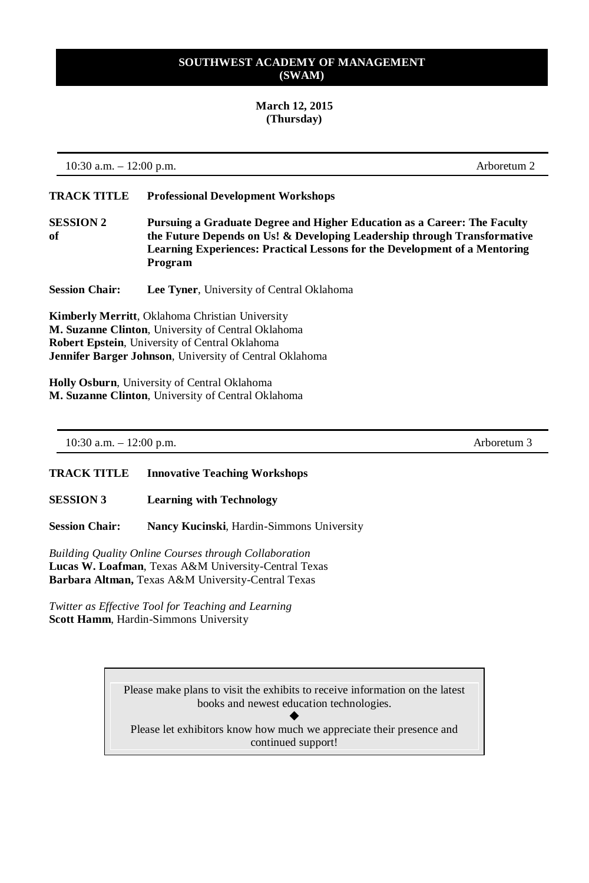## **March 12, 2015 (Thursday)**

10:30 a.m. – 12:00 p.m. Arboretum 2

**TRACK TITLE Professional Development Workshops**

**SESSION 2 Pursuing a Graduate Degree and Higher Education as a Career: The Faculty of the Future Depends on Us! & Developing Leadership through Transformative Learning Experiences: Practical Lessons for the Development of a Mentoring Program**

**Session Chair: Lee Tyner**, University of Central Oklahoma

**Kimberly Merritt**, Oklahoma Christian University **M. Suzanne Clinton**, University of Central Oklahoma **Robert Epstein**, University of Central Oklahoma **Jennifer Barger Johnson**, University of Central Oklahoma

**Holly Osburn**, University of Central Oklahoma **M. Suzanne Clinton**, University of Central Oklahoma

10:30 a.m. – 12:00 p.m. Arboretum 3

**TRACK TITLE Innovative Teaching Workshops**

**SESSION 3 Learning with Technology**

**Session Chair: Nancy Kucinski**, Hardin-Simmons University

*Building Quality Online Courses through Collaboration* **Lucas W. Loafman**, Texas A&M University-Central Texas **Barbara Altman,** Texas A&M University-Central Texas

*Twitter as Effective Tool for Teaching and Learning* **Scott Hamm**, Hardin-Simmons University

> Please make plans to visit the exhibits to receive information on the latest books and newest education technologies.

٠ Please let exhibitors know how much we appreciate their presence and continued support!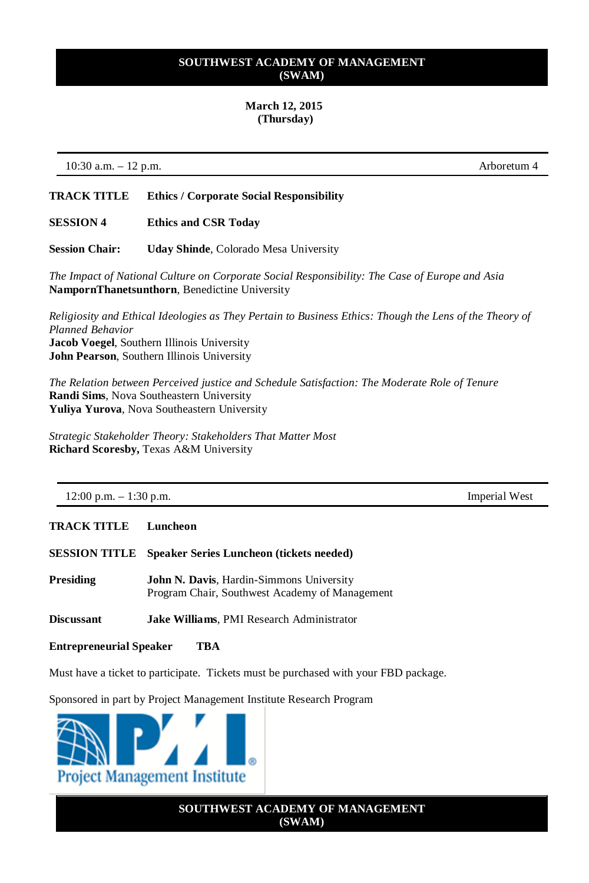#### **March 12, 2015 (Thursday)**

10:30 a.m. – 12 p.m. Arboretum 4

## **TRACK TITLE Ethics / Corporate Social Responsibility**

#### **SESSION 4 Ethics and CSR Today**

**Session Chair: Uday Shinde**, Colorado Mesa University

*The Impact of National Culture on Corporate Social Responsibility: The Case of Europe and Asia* **NampornThanetsunthorn**, Benedictine University

*Religiosity and Ethical Ideologies as They Pertain to Business Ethics: Though the Lens of the Theory of Planned Behavior* **Jacob Voegel**, Southern Illinois University **John Pearson**, Southern Illinois University

*The Relation between Perceived justice and Schedule Satisfaction: The Moderate Role of Tenure* **Randi Sims**, Nova Southeastern University **Yuliya Yurova**, Nova Southeastern University

*Strategic Stakeholder Theory: Stakeholders That Matter Most* **Richard Scoresby,** Texas A&M University

12:00 p.m. – 1:30 p.m.

**TRACK TITLE Luncheon**

**SESSION TITLE Speaker Series Luncheon (tickets needed)**

**Presiding John N. Davis**, Hardin-Simmons University Program Chair, Southwest Academy of Management

**Discussant Jake Williams**, PMI Research Administrator

**Entrepreneurial Speaker TBA** 

Must have a ticket to participate. Tickets must be purchased with your FBD package.

Sponsored in part by Project Management Institute Research Program



**SOUTHWEST ACADEMY OF MANAGEMENT (SWAM)**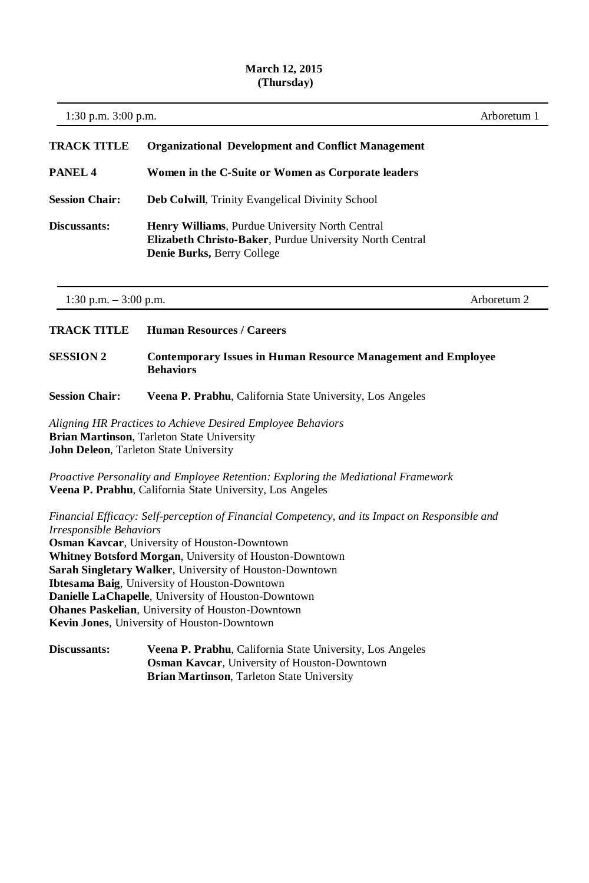## **March 12, 2015 (Thursday)**

| 1:30 p.m. 3:00 p.m.     |                                                                                                                                                                                                                                                                                                                                                                                                                                                                                         | Arboretum 1 |
|-------------------------|-----------------------------------------------------------------------------------------------------------------------------------------------------------------------------------------------------------------------------------------------------------------------------------------------------------------------------------------------------------------------------------------------------------------------------------------------------------------------------------------|-------------|
| <b>TRACK TITLE</b>      | <b>Organizational Development and Conflict Management</b>                                                                                                                                                                                                                                                                                                                                                                                                                               |             |
| PANEL <sub>4</sub>      | Women in the C-Suite or Women as Corporate leaders                                                                                                                                                                                                                                                                                                                                                                                                                                      |             |
| <b>Session Chair:</b>   | Deb Colwill, Trinity Evangelical Divinity School                                                                                                                                                                                                                                                                                                                                                                                                                                        |             |
| Discussants:            | Henry Williams, Purdue University North Central<br>Elizabeth Christo-Baker, Purdue University North Central<br>Denie Burks, Berry College                                                                                                                                                                                                                                                                                                                                               |             |
| 1:30 p.m. $-3:00$ p.m.  |                                                                                                                                                                                                                                                                                                                                                                                                                                                                                         | Arboretum 2 |
| <b>TRACK TITLE</b>      | <b>Human Resources / Careers</b>                                                                                                                                                                                                                                                                                                                                                                                                                                                        |             |
| <b>SESSION 2</b>        | <b>Contemporary Issues in Human Resource Management and Employee</b><br><b>Behaviors</b>                                                                                                                                                                                                                                                                                                                                                                                                |             |
| <b>Session Chair:</b>   | Veena P. Prabhu, California State University, Los Angeles                                                                                                                                                                                                                                                                                                                                                                                                                               |             |
|                         | Aligning HR Practices to Achieve Desired Employee Behaviors<br>Brian Martinson, Tarleton State University<br>John Deleon, Tarleton State University                                                                                                                                                                                                                                                                                                                                     |             |
|                         | Proactive Personality and Employee Retention: Exploring the Mediational Framework<br>Veena P. Prabhu, California State University, Los Angeles                                                                                                                                                                                                                                                                                                                                          |             |
| Irresponsible Behaviors | Financial Efficacy: Self-perception of Financial Competency, and its Impact on Responsible and<br>Osman Kavcar, University of Houston-Downtown<br>Whitney Botsford Morgan, University of Houston-Downtown<br>Sarah Singletary Walker, University of Houston-Downtown<br>Ibtesama Baig, University of Houston-Downtown<br>Danielle LaChapelle, University of Houston-Downtown<br><b>Ohanes Paskelian</b> , University of Houston-Downtown<br>Kevin Jones, University of Houston-Downtown |             |
| Discussants:            | Veena P. Prabhu, California State University, Los Angeles<br>Osman Kavcar, University of Houston-Downtown<br>Brian Martinson, Tarleton State University                                                                                                                                                                                                                                                                                                                                 |             |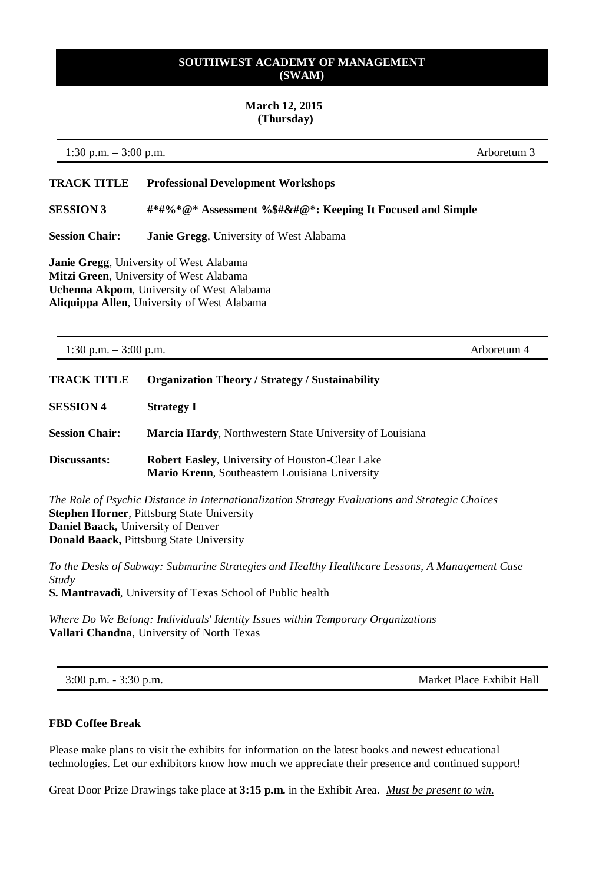### **March 12, 2015 (Thursday)**

1:30 p.m. – 3:00 p.m. Arboretum 3

## **TRACK TITLE Professional Development Workshops**

**SESSION 3 #\*#%\*@\* Assessment %\$#&#@\*: Keeping It Focused and Simple**

**Session Chair: Janie Gregg**, University of West Alabama

**Janie Gregg**, University of West Alabama **Mitzi Green**, University of West Alabama **Uchenna Akpom**, University of West Alabama **Aliquippa Allen**, University of West Alabama

| 1:30 p.m. $-3:00$ p.m. |                                                                                                                  | Arboretum 4 |
|------------------------|------------------------------------------------------------------------------------------------------------------|-------------|
| TRACK TITLE            | <b>Organization Theory / Strategy / Sustainability</b>                                                           |             |
| <b>SESSION 4</b>       | <b>Strategy I</b>                                                                                                |             |
| <b>Session Chair:</b>  | <b>Marcia Hardy, Northwestern State University of Louisiana</b>                                                  |             |
| <b>Discussants:</b>    | <b>Robert Easley, University of Houston-Clear Lake</b><br><b>Mario Krenn</b> , Southeastern Louisiana University |             |

*The Role of Psychic Distance in Internationalization Strategy Evaluations and Strategic Choices* **Stephen Horner**, Pittsburg State University **Daniel Baack,** University of Denver **Donald Baack,** Pittsburg State University

*To the Desks of Subway: Submarine Strategies and Healthy Healthcare Lessons, A Management Case Study* **S. Mantravadi**, University of Texas School of Public health

*Where Do We Belong: Individuals' Identity Issues within Temporary Organizations*  **Vallari Chandna**, University of North Texas

3:00 p.m. - 3:30 p.m. Market Place Exhibit Hall

## **FBD Coffee Break**

Please make plans to visit the exhibits for information on the latest books and newest educational technologies. Let our exhibitors know how much we appreciate their presence and continued support!

Great Door Prize Drawings take place at **3:15 p.m.** in the Exhibit Area. *Must be present to win.*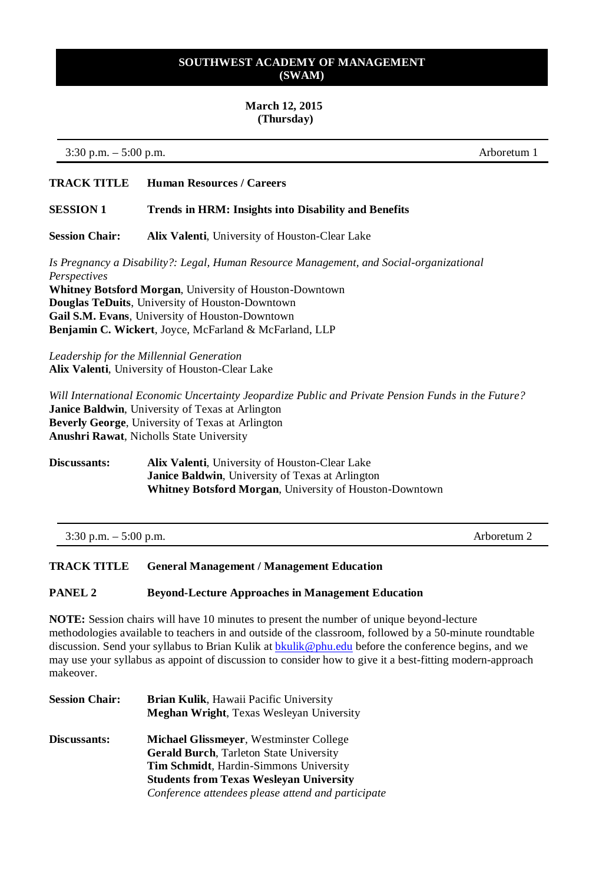#### **March 12, 2015 (Thursday)**

3:30 p.m. – 5:00 p.m. Arboretum 1

## **TRACK TITLE Human Resources / Careers**

#### **SESSION 1 Trends in HRM: Insights into Disability and Benefits**

**Session Chair: Alix Valenti**, University of Houston-Clear Lake

*Is Pregnancy a Disability?: Legal, Human Resource Management, and Social-organizational Perspectives*

**Whitney Botsford Morgan**, University of Houston-Downtown **Douglas TeDuits**, University of Houston-Downtown **Gail S.M. Evans**, University of Houston-Downtown **Benjamin C. Wickert**, Joyce, McFarland & McFarland, LLP

*Leadership for the Millennial Generation* **Alix Valenti**, University of Houston-Clear Lake

*Will International Economic Uncertainty Jeopardize Public and Private Pension Funds in the Future?* **Janice Baldwin**, University of Texas at Arlington **Beverly George**, University of Texas at Arlington **Anushri Rawat**, Nicholls State University

**Discussants: Alix Valenti**, University of Houston-Clear Lake **Janice Baldwin**, University of Texas at Arlington **Whitney Botsford Morgan**, University of Houston-Downtown

| $3:30$ p.m. $-5:00$ p.m. | Arboretum <sub>2</sub> |
|--------------------------|------------------------|
|--------------------------|------------------------|

## **TRACK TITLE General Management / Management Education**

#### **PANEL 2 Beyond-Lecture Approaches in Management Education**

**NOTE:** Session chairs will have 10 minutes to present the number of unique beyond-lecture methodologies available to teachers in and outside of the classroom, followed by a 50-minute roundtable discussion. Send your syllabus to Brian Kulik at bkulik @phu.edu before the conference begins, and we may use your syllabus as appoint of discussion to consider how to give it a best-fitting modern-approach makeover.

| <b>Session Chair:</b> | Brian Kulik, Hawaii Pacific University<br><b>Meghan Wright, Texas Wesleyan University</b> |
|-----------------------|-------------------------------------------------------------------------------------------|
| Discussants:          | <b>Michael Glissmeyer, Westminster College</b>                                            |
|                       | <b>Gerald Burch, Tarleton State University</b>                                            |
|                       | <b>Tim Schmidt, Hardin-Simmons University</b>                                             |
|                       | <b>Students from Texas Weslevan University</b>                                            |
|                       | Conference attendees please attend and participate                                        |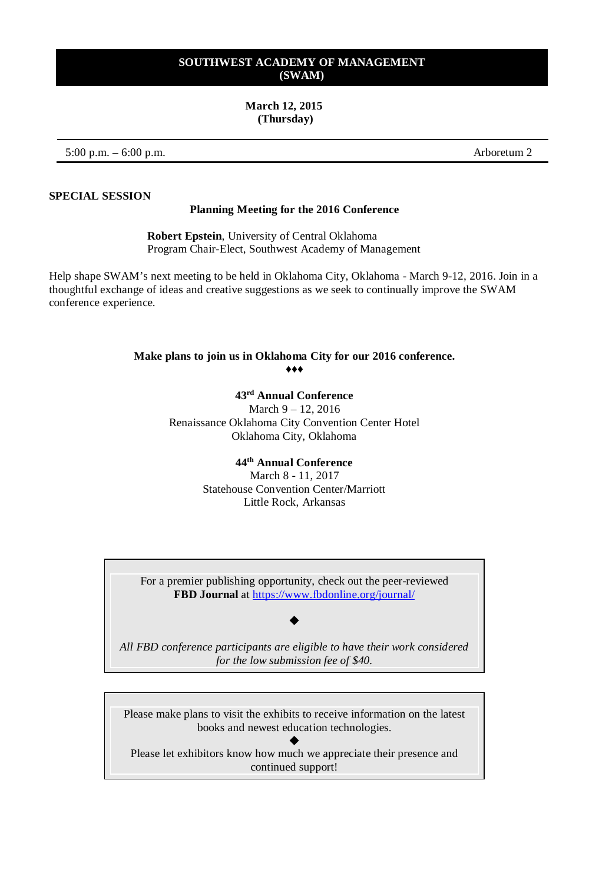#### **March 12, 2015 (Thursday)**

5:00 p.m. – 6:00 p.m. Arboretum 2

**SPECIAL SESSION**

#### **Planning Meeting for the 2016 Conference**

**Robert Epstein**, University of Central Oklahoma Program Chair-Elect, Southwest Academy of Management

Help shape SWAM's next meeting to be held in Oklahoma City, Oklahoma - March 9-12, 2016. Join in a thoughtful exchange of ideas and creative suggestions as we seek to continually improve the SWAM conference experience.

### **Make plans to join us in Oklahoma City for our 2016 conference.** ♦♦♦

**43rd Annual Conference**

March 9 – 12, 2016 Renaissance Oklahoma City Convention Center Hotel Oklahoma City, Oklahoma

## **44th Annual Conference**

March 8 - 11, 2017 Statehouse Convention Center/Marriott Little Rock, Arkansas

For a premier publishing opportunity, check out the peer-reviewed **FBD Journal** a[t https://www.fbdonline.org/journal/](https://www.fbdonline.org/journal/)

#### ٠

*All FBD conference participants are eligible to have their work considered for the low submission fee of \$40.*

Please make plans to visit the exhibits to receive information on the latest books and newest education technologies.

٠ Please let exhibitors know how much we appreciate their presence and continued support!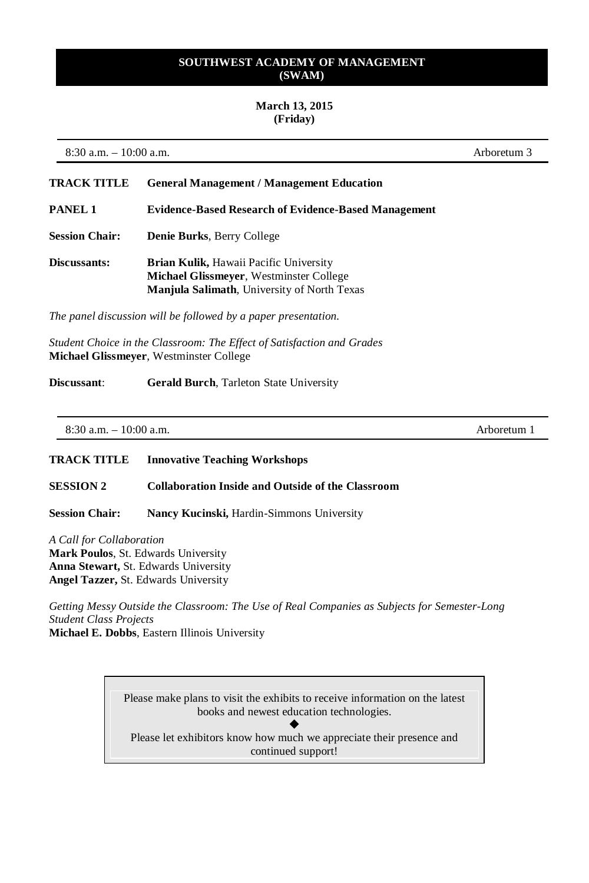## **March 13, 2015 (Friday)**

8:30 a.m. – 10:00 a.m. Arboretum 3

| TRACK TITLE           | <b>General Management / Management Education</b>                                                                                               |
|-----------------------|------------------------------------------------------------------------------------------------------------------------------------------------|
| PANEL 1               | <b>Evidence-Based Research of Evidence-Based Management</b>                                                                                    |
| <b>Session Chair:</b> | <b>Denie Burks, Berry College</b>                                                                                                              |
| <b>Discussants:</b>   | <b>Brian Kulik, Hawaii Pacific University</b><br>Michael Glissmeyer, Westminster College<br><b>Manjula Salimath, University of North Texas</b> |

*The panel discussion will be followed by a paper presentation.*

*Student Choice in the Classroom: The Effect of Satisfaction and Grades* **Michael Glissmeyer**, Westminster College

**Discussant: Gerald Burch**, Tarleton State University

| <b>TRACK TITLE</b>    | <b>Innovative Teaching Workshops</b>                     |
|-----------------------|----------------------------------------------------------|
| <b>SESSION 2</b>      | <b>Collaboration Inside and Outside of the Classroom</b> |
| <b>Session Chair:</b> | Nancy Kucinski, Hardin-Simmons University                |

*A Call for Collaboration* **Mark Poulos**, St. Edwards University **Anna Stewart,** St. Edwards University **Angel Tazzer,** St. Edwards University

*Getting Messy Outside the Classroom: The Use of Real Companies as Subjects for Semester-Long Student Class Projects*

**Michael E. Dobbs**, Eastern Illinois University

Please make plans to visit the exhibits to receive information on the latest books and newest education technologies.

 $\blacklozenge$ Please let exhibitors know how much we appreciate their presence and continued support!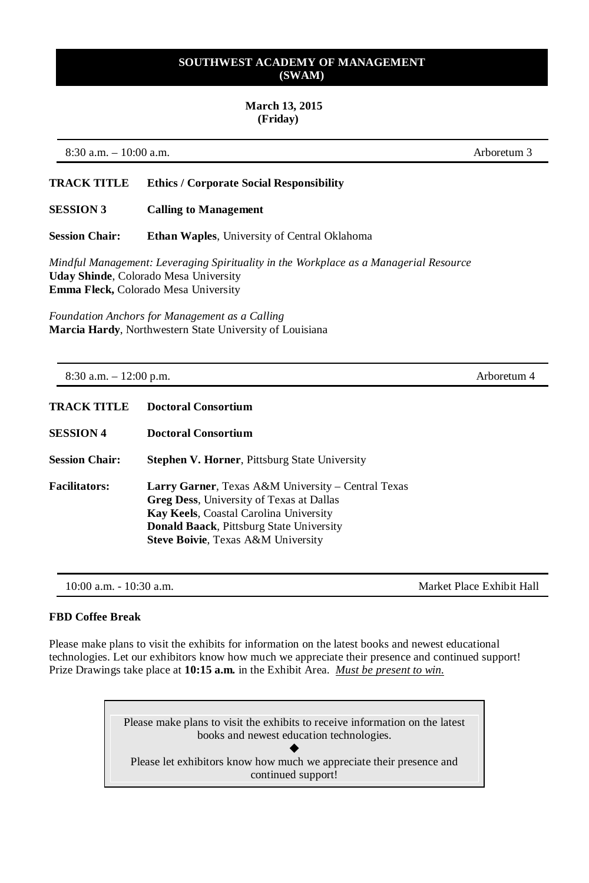#### **March 13, 2015 (Friday)**

8:30 a.m. – 10:00 a.m. Arboretum 3

#### **TRACK TITLE Ethics / Corporate Social Responsibility**

**SESSION 3 Calling to Management**

**Session Chair: Ethan Waples**, University of Central Oklahoma

*Mindful Management: Leveraging Spirituality in the Workplace as a Managerial Resource* **Uday Shinde**, Colorado Mesa University **Emma Fleck,** Colorado Mesa University

*Foundation Anchors for Management as a Calling* **Marcia Hardy**, Northwestern State University of Louisiana

8:30 a.m. – 12:00 p.m. Arboretum 4

| <b>TRACK TITLE</b>    | <b>Doctoral Consortium</b>                                                                                                                                                                                                                          |  |
|-----------------------|-----------------------------------------------------------------------------------------------------------------------------------------------------------------------------------------------------------------------------------------------------|--|
| <b>SESSION 4</b>      | <b>Doctoral Consortium</b>                                                                                                                                                                                                                          |  |
| <b>Session Chair:</b> | <b>Stephen V. Horner, Pittsburg State University</b>                                                                                                                                                                                                |  |
| <b>Facilitators:</b>  | Larry Garner, Texas A&M University – Central Texas<br><b>Greg Dess, University of Texas at Dallas</b><br>Kay Keels, Coastal Carolina University<br><b>Donald Baack, Pittsburg State University</b><br><b>Steve Boivie, Texas A&amp;M University</b> |  |

10:00 a.m. - 10:30 a.m.

#### **FBD Coffee Break**

Please make plans to visit the exhibits for information on the latest books and newest educational technologies. Let our exhibitors know how much we appreciate their presence and continued support! Prize Drawings take place at **10:15 a.m.** in the Exhibit Area. *Must be present to win.*

> Please make plans to visit the exhibits to receive information on the latest books and newest education technologies.  $\blacklozenge$ Please let exhibitors know how much we appreciate their presence and

> > continued support!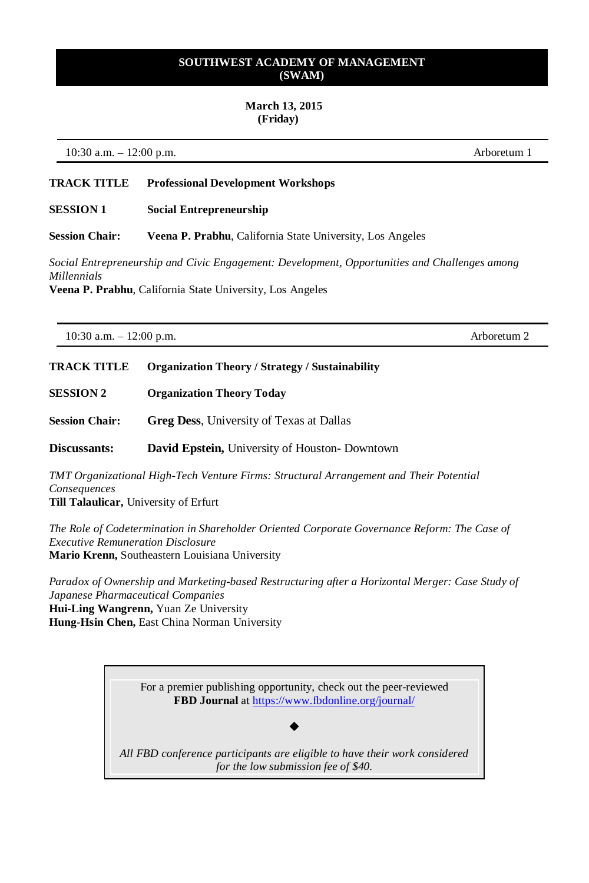#### **March 13, 2015 (Friday)**

10:30 a.m. – 12:00 p.m. Arboretum 1

## **TRACK TITLE Professional Development Workshops**

#### **SESSION 1 Social Entrepreneurship**

**Session Chair: Veena P. Prabhu**, California State University, Los Angeles

*Social Entrepreneurship and Civic Engagement: Development, Opportunities and Challenges among Millennials*

**Veena P. Prabhu**, California State University, Los Angeles

10:30 a.m. – 12:00 p.m. Arboretum 2

# **TRACK TITLE Organization Theory / Strategy / Sustainability**

**SESSION 2 Organization Theory Today**

**Session Chair: Greg Dess**, University of Texas at Dallas

**Discussants: David Epstein,** University of Houston- Downtown

*TMT Organizational High-Tech Venture Firms: Structural Arrangement and Their Potential Consequences* **Till Talaulicar,** University of Erfurt

*The Role of Codetermination in Shareholder Oriented Corporate Governance Reform: The Case of Executive Remuneration Disclosure* **Mario Krenn,** Southeastern Louisiana University

*Paradox of Ownership and Marketing-based Restructuring after a Horizontal Merger: Case Study of Japanese Pharmaceutical Companies* **Hui-Ling Wangrenn,** Yuan Ze University **Hung-Hsin Chen,** East China Norman University

> For a premier publishing opportunity, check out the peer-reviewed **FBD Journal** a[t https://www.fbdonline.org/journal/](https://www.fbdonline.org/journal/)

*All FBD conference participants are eligible to have their work considered for the low submission fee of \$40.*

٠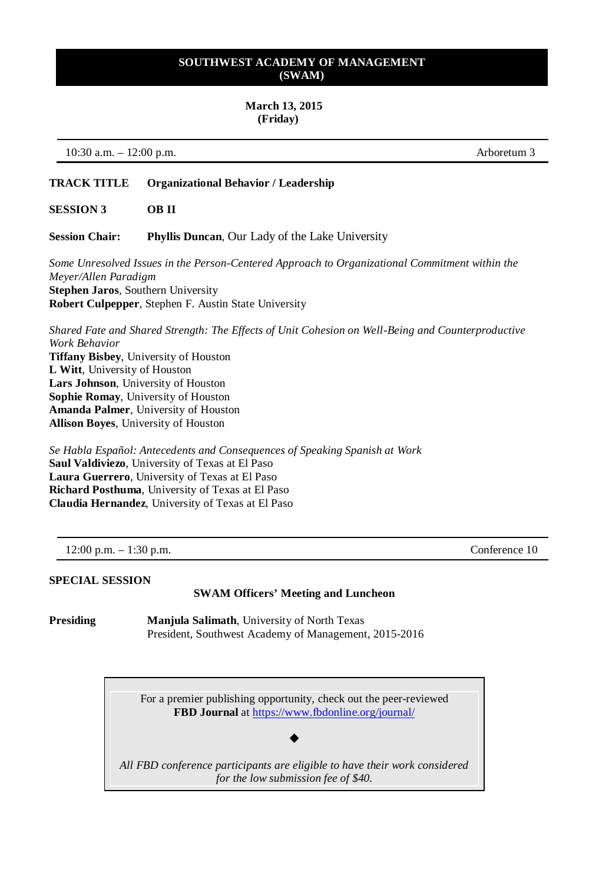#### **March 13, 2015 (Friday)**

10:30 a.m. – 12:00 p.m. Arboretum 3

## **TRACK TITLE Organizational Behavior / Leadership**

**SESSION 3 OB II**

**Session Chair: Phyllis Duncan**, Our Lady of the Lake University

*Some Unresolved Issues in the Person-Centered Approach to Organizational Commitment within the Meyer/Allen Paradigm* **Stephen Jaros**, Southern University **Robert Culpepper**, Stephen F. Austin State University

*Shared Fate and Shared Strength: The Effects of Unit Cohesion on Well-Being and Counterproductive Work Behavior* **Tiffany Bisbey**, University of Houston

**L Witt**, University of Houston **Lars Johnson**, University of Houston **Sophie Romay**, University of Houston **Amanda Palmer**, University of Houston **Allison Boyes**, University of Houston

*Se Habla Español: Antecedents and Consequences of Speaking Spanish at Work* **Saul Valdiviezo**, University of Texas at El Paso **Laura Guerrero**, University of Texas at El Paso **Richard Posthuma**, University of Texas at El Paso **Claudia Hernandez**, University of Texas at El Paso

#### **SPECIAL SESSION**

#### **SWAM Officers' Meeting and Luncheon**

**Presiding Manjula Salimath**, University of North Texas President, Southwest Academy of Management, 2015-2016

> For a premier publishing opportunity, check out the peer-reviewed **FBD Journal** a[t https://www.fbdonline.org/journal/](https://www.fbdonline.org/journal/)

*All FBD conference participants are eligible to have their work considered for the low submission fee of \$40.*

٠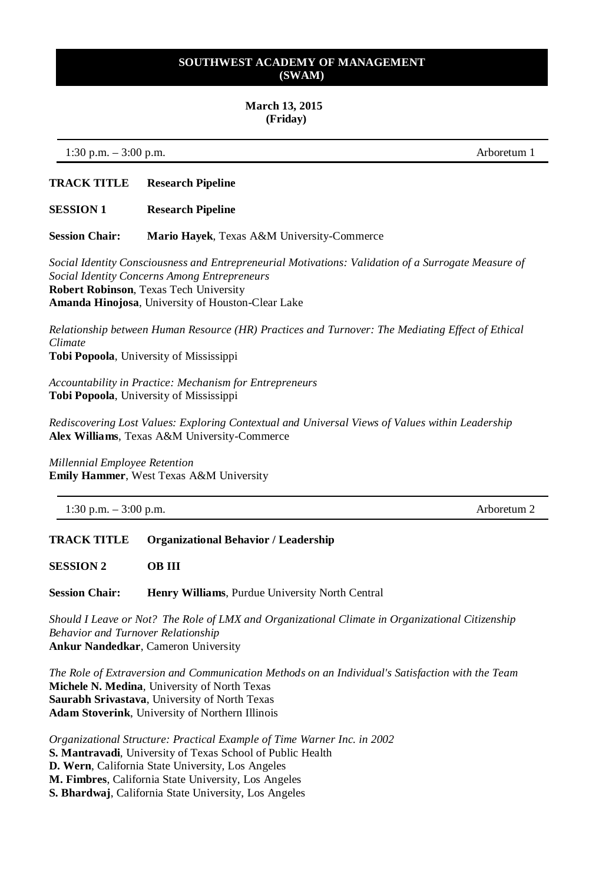#### **March 13, 2015 (Friday)**

1:30 p.m. – 3:00 p.m. Arboretum 1

## **TRACK TITLE Research Pipeline**

**SESSION 1 Research Pipeline**

**Session Chair: Mario Hayek**, Texas A&M University-Commerce

*Social Identity Consciousness and Entrepreneurial Motivations: Validation of a Surrogate Measure of Social Identity Concerns Among Entrepreneurs* **Robert Robinson**, Texas Tech University **Amanda Hinojosa**, University of Houston-Clear Lake

*Relationship between Human Resource (HR) Practices and Turnover: The Mediating Effect of Ethical Climate* **Tobi Popoola**, University of Mississippi

*Accountability in Practice: Mechanism for Entrepreneurs* **Tobi Popoola**, University of Mississippi

*Rediscovering Lost Values: Exploring Contextual and Universal Views of Values within Leadership* **Alex Williams**, Texas A&M University-Commerce

*Millennial Employee Retention* **Emily Hammer**, West Texas A&M University

1:30 p.m. – 3:00 p.m. Arboretum 2

**TRACK TITLE Organizational Behavior / Leadership**

**SESSION 2 OB III**

**Session Chair: Henry Williams**, Purdue University North Central

*Should I Leave or Not? The Role of LMX and Organizational Climate in Organizational Citizenship Behavior and Turnover Relationship* **Ankur Nandedkar**, Cameron University

*The Role of Extraversion and Communication Methods on an Individual's Satisfaction with the Team* **Michele N. Medina**, University of North Texas **Saurabh Srivastava**, University of North Texas **Adam Stoverink**, University of Northern Illinois

*Organizational Structure: Practical Example of Time Warner Inc. in 2002* **S. Mantravadi**, University of Texas School of Public Health **D. Wern**, California State University, Los Angeles **M. Fimbres**, California State University, Los Angeles **S. Bhardwaj**, California State University, Los Angeles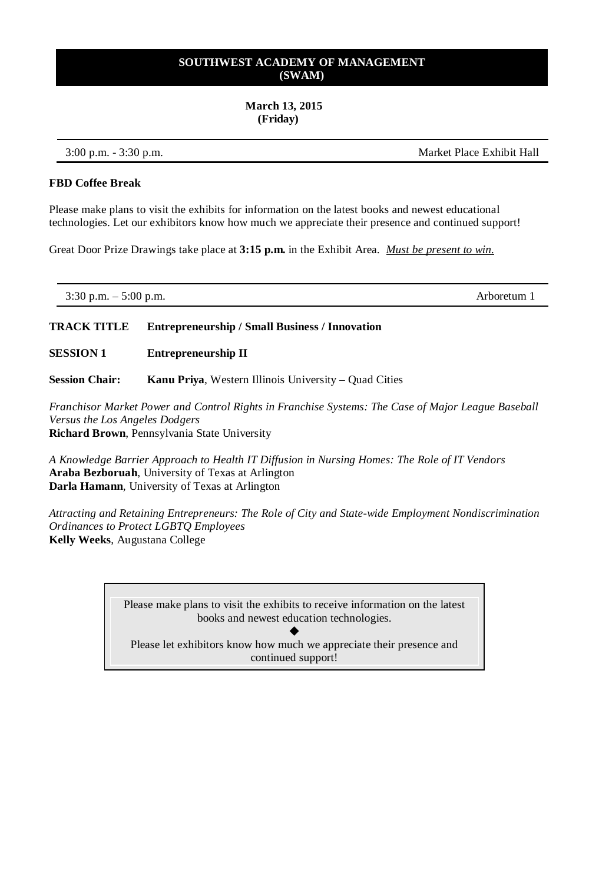#### **March 13, 2015 (Friday)**

3:00 p.m. - 3:30 p.m. Market Place Exhibit Hall

#### **FBD Coffee Break**

Please make plans to visit the exhibits for information on the latest books and newest educational technologies. Let our exhibitors know how much we appreciate their presence and continued support!

Great Door Prize Drawings take place at **3:15 p.m.** in the Exhibit Area. *Must be present to win.*

| $3:30$ p.m. $-$<br>$5:00$ p.m.<br>Arboretum. |
|----------------------------------------------|
|----------------------------------------------|

## **TRACK TITLE Entrepreneurship / Small Business / Innovation**

**SESSION 1 Entrepreneurship II**

**Session Chair: Kanu Priya**, Western Illinois University – Quad Cities

*Franchisor Market Power and Control Rights in Franchise Systems: The Case of Major League Baseball Versus the Los Angeles Dodgers* **Richard Brown**, Pennsylvania State University

*A Knowledge Barrier Approach to Health IT Diffusion in Nursing Homes: The Role of IT Vendors* **Araba Bezboruah**, University of Texas at Arlington **Darla Hamann**, University of Texas at Arlington

*Attracting and Retaining Entrepreneurs: The Role of City and State-wide Employment Nondiscrimination Ordinances to Protect LGBTQ Employees* **Kelly Weeks**, Augustana College

> Please make plans to visit the exhibits to receive information on the latest books and newest education technologies.

 $\blacklozenge$ Please let exhibitors know how much we appreciate their presence and continued support!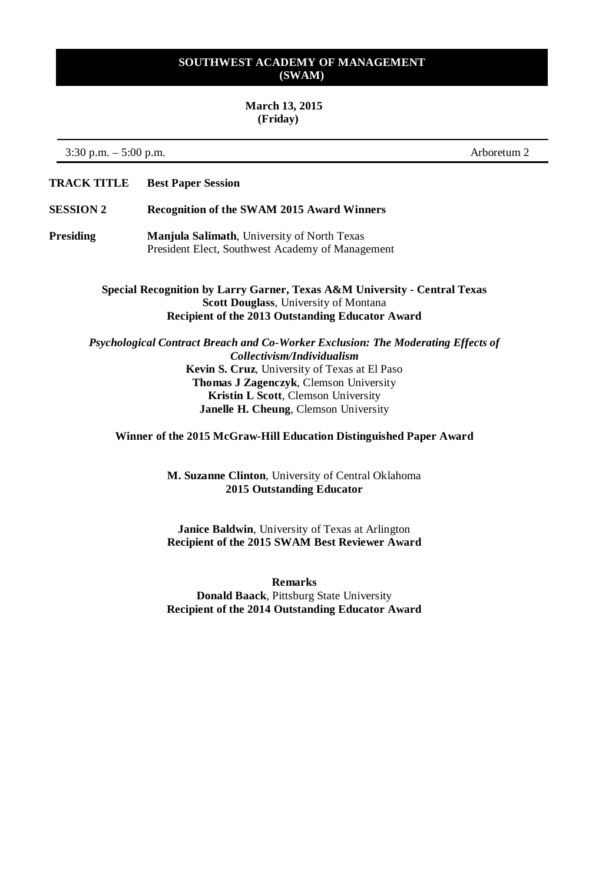#### **March 13, 2015 (Friday)**

3:30 p.m. – 5:00 p.m. Arboretum 2

**TRACK TITLE Best Paper Session**

### **SESSION 2 Recognition of the SWAM 2015 Award Winners**

**Presiding Manjula Salimath**, University of North Texas President Elect, Southwest Academy of Management

> **Special Recognition by Larry Garner, Texas A&M University - Central Texas Scott Douglass**, University of Montana **Recipient of the 2013 Outstanding Educator Award**

*Psychological Contract Breach and Co-Worker Exclusion: The Moderating Effects of Collectivism/Individualism* **Kevin S. Cruz**, University of Texas at El Paso **Thomas J Zagenczyk**, Clemson University **Kristin L Scott**, Clemson University **Janelle H. Cheung**, Clemson University

**Winner of the 2015 McGraw-Hill Education Distinguished Paper Award**

**M. Suzanne Clinton**, University of Central Oklahoma **2015 Outstanding Educator**

**Janice Baldwin**, University of Texas at Arlington **Recipient of the 2015 SWAM Best Reviewer Award**

**Remarks Donald Baack**, Pittsburg State University **Recipient of the 2014 Outstanding Educator Award**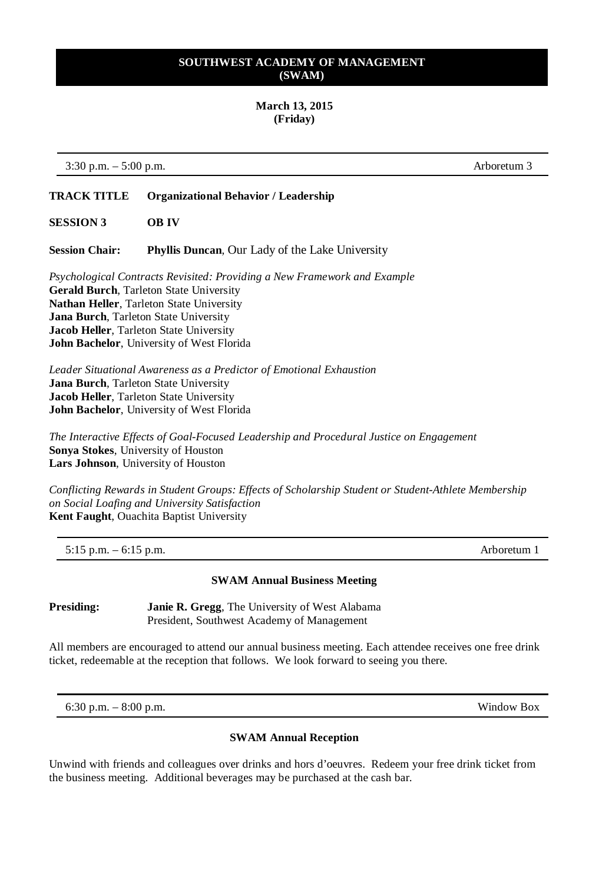### **March 13, 2015 (Friday)**

3:30 p.m. – 5:00 p.m. Arboretum 3

## **TRACK TITLE Organizational Behavior / Leadership**

**SESSION 3 OB IV**

**Session Chair: Phyllis Duncan**, Our Lady of the Lake University

*Psychological Contracts Revisited: Providing a New Framework and Example* **Gerald Burch**, Tarleton State University **Nathan Heller**, Tarleton State University **Jana Burch**, Tarleton State University **Jacob Heller**, Tarleton State University **John Bachelor**, University of West Florida

*Leader Situational Awareness as a Predictor of Emotional Exhaustion* **Jana Burch**, Tarleton State University **Jacob Heller**, Tarleton State University **John Bachelor**, University of West Florida

*The Interactive Effects of Goal-Focused Leadership and Procedural Justice on Engagement* **Sonya Stokes**, University of Houston **Lars Johnson**, University of Houston

*Conflicting Rewards in Student Groups: Effects of Scholarship Student or Student-Athlete Membership on Social Loafing and University Satisfaction* **Kent Faught**, Ouachita Baptist University

5:15 p.m. – 6:15 p.m. Arboretum 1

## **SWAM Annual Business Meeting**

**Presiding: Janie R. Gregg**, The University of West Alabama President, Southwest Academy of Management

All members are encouraged to attend our annual business meeting. Each attendee receives one free drink ticket, redeemable at the reception that follows. We look forward to seeing you there.

6:30 p.m. – 8:00 p.m. Window Box

#### **SWAM Annual Reception**

Unwind with friends and colleagues over drinks and hors d'oeuvres. Redeem your free drink ticket from the business meeting. Additional beverages may be purchased at the cash bar.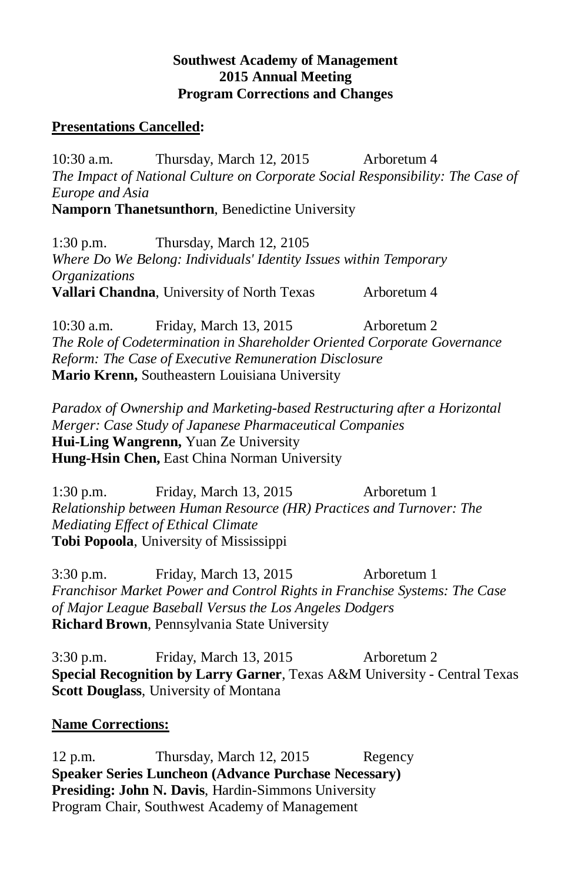## **Southwest Academy of Management 2015 Annual Meeting Program Corrections and Changes**

## **Presentations Cancelled:**

10:30 a.m. Thursday, March 12, 2015 Arboretum 4 *The Impact of National Culture on Corporate Social Responsibility: The Case of Europe and Asia*  **Namporn Thanetsunthorn**, Benedictine University

1:30 p.m. Thursday, March 12, 2105 *Where Do We Belong: Individuals' Identity Issues within Temporary Organizations*  **Vallari Chandna**, University of North Texas Arboretum 4

10:30 a.m. Friday, March 13, 2015 Arboretum 2 *The Role of Codetermination in Shareholder Oriented Corporate Governance Reform: The Case of Executive Remuneration Disclosure*  **Mario Krenn,** Southeastern Louisiana University

*Paradox of Ownership and Marketing-based Restructuring after a Horizontal Merger: Case Study of Japanese Pharmaceutical Companies*  **Hui-Ling Wangrenn,** Yuan Ze University **Hung-Hsin Chen,** East China Norman University

1:30 p.m. Friday, March 13, 2015 Arboretum 1 *Relationship between Human Resource (HR) Practices and Turnover: The Mediating Effect of Ethical Climate*  **Tobi Popoola**, University of Mississippi

3:30 p.m. Friday, March 13, 2015 Arboretum 1 *Franchisor Market Power and Control Rights in Franchise Systems: The Case of Major League Baseball Versus the Los Angeles Dodgers* **Richard Brown**, Pennsylvania State University

3:30 p.m. Friday, March 13, 2015 Arboretum 2 **Special Recognition by Larry Garner**, Texas A&M University - Central Texas **Scott Douglass**, University of Montana

## **Name Corrections:**

12 p.m. Thursday, March 12, 2015 Regency **Speaker Series Luncheon (Advance Purchase Necessary) Presiding: John N. Davis**, Hardin-Simmons University Program Chair, Southwest Academy of Management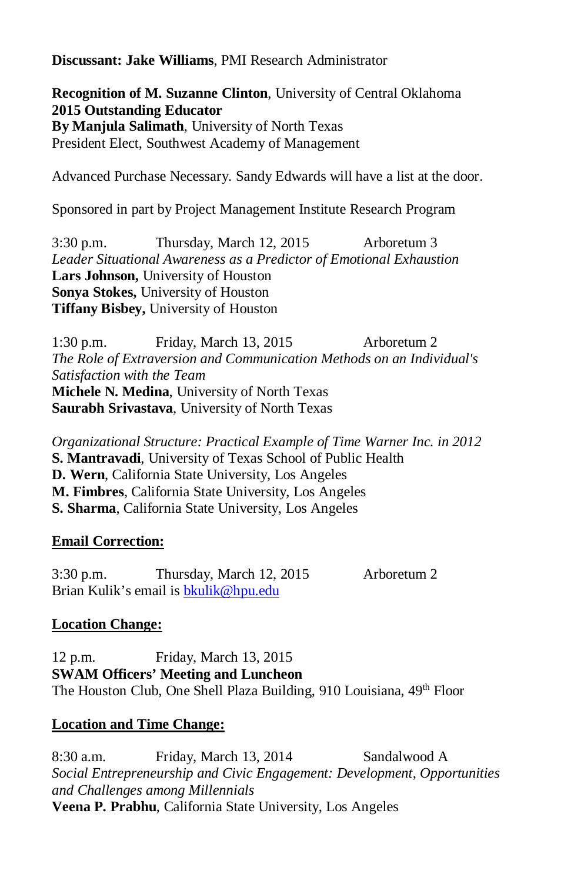**Discussant: Jake Williams**, PMI Research Administrator

**Recognition of M. Suzanne Clinton**, University of Central Oklahoma **2015 Outstanding Educator By Manjula Salimath**, University of North Texas President Elect, Southwest Academy of Management

Advanced Purchase Necessary. Sandy Edwards will have a list at the door.

Sponsored in part by Project Management Institute Research Program

3:30 p.m. Thursday, March 12, 2015 Arboretum 3 *Leader Situational Awareness as a Predictor of Emotional Exhaustion* **Lars Johnson,** University of Houston **Sonya Stokes,** University of Houston **Tiffany Bisbey,** University of Houston

1:30 p.m. Friday, March 13, 2015 Arboretum 2 *The Role of Extraversion and Communication Methods on an Individual's Satisfaction with the Team*  **Michele N. Medina**, University of North Texas **Saurabh Srivastava**, University of North Texas

*Organizational Structure: Practical Example of Time Warner Inc. in 2012*  **S. Mantravadi**, University of Texas School of Public Health **D. Wern**, California State University, Los Angeles **M. Fimbres**, California State University, Los Angeles **S. Sharma**, California State University, Los Angeles

## **Email Correction:**

3:30 p.m. Thursday, March 12, 2015 Arboretum 2 Brian Kulik's email is [bkulik@hpu.edu](mailto:bkulik@hpu.edu)

# **Location Change:**

12 p.m. Friday, March 13, 2015 **SWAM Officers' Meeting and Luncheon** The Houston Club, One Shell Plaza Building, 910 Louisiana, 49th Floor

## **Location and Time Change:**

8:30 a.m. Friday, March 13, 2014 Sandalwood A *Social Entrepreneurship and Civic Engagement: Development, Opportunities and Challenges among Millennials*  **Veena P. Prabhu**, California State University, Los Angeles